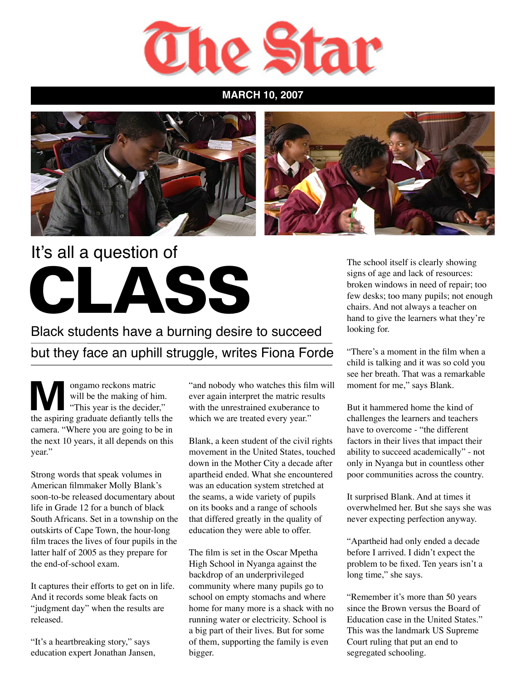

**MARCH 10, 2007**





## It's all a question of CLASS

Black students have a burning desire to succeed but they face an uphill struggle, writes Fiona Forde

ongamo reckons matric<br>will be the making of his<br>"This year is the decider<br>the conjuing creduate defeative tells will be the making of him. "This year is the decider," the aspiring graduate defiantly tells the camera. "Where you are going to be in the next 10 years, it all depends on this year."

Strong words that speak volumes in American filmmaker Molly Blank's soon-to-be released documentary about life in Grade 12 for a bunch of black South Africans. Set in a township on the outskirts of Cape Town, the hour-long film traces the lives of four pupils in the latter half of 2005 as they prepare for the end-of-school exam.

It captures their efforts to get on in life. And it records some bleak facts on "judgment day" when the results are released.

"It's a heartbreaking story," says education expert Jonathan Jansen,

"and nobody who watches this film will ever again interpret the matric results with the unrestrained exuberance to which we are treated every year."

Blank, a keen student of the civil rights movement in the United States, touched down in the Mother City a decade after apartheid ended. What she encountered was an education system stretched at the seams, a wide variety of pupils on its books and a range of schools that differed greatly in the quality of education they were able to offer.

The film is set in the Oscar Mpetha High School in Nyanga against the backdrop of an underprivileged community where many pupils go to school on empty stomachs and where home for many more is a shack with no running water or electricity. School is a big part of their lives. But for some of them, supporting the family is even bigger.

The school itself is clearly showing signs of age and lack of resources: broken windows in need of repair; too few desks; too many pupils; not enough chairs. And not always a teacher on hand to give the learners what they're looking for.

"There's a moment in the film when a child is talking and it was so cold you see her breath. That was a remarkable moment for me," says Blank.

But it hammered home the kind of challenges the learners and teachers have to overcome - "the different factors in their lives that impact their ability to succeed academically" - not only in Nyanga but in countless other poor communities across the country.

It surprised Blank. And at times it overwhelmed her. But she says she was never expecting perfection anyway.

"Apartheid had only ended a decade before I arrived. I didn't expect the problem to be fixed. Ten years isn't a long time," she says.

"Remember it's more than 50 years since the Brown versus the Board of Education case in the United States." This was the landmark US Supreme Court ruling that put an end to segregated schooling.